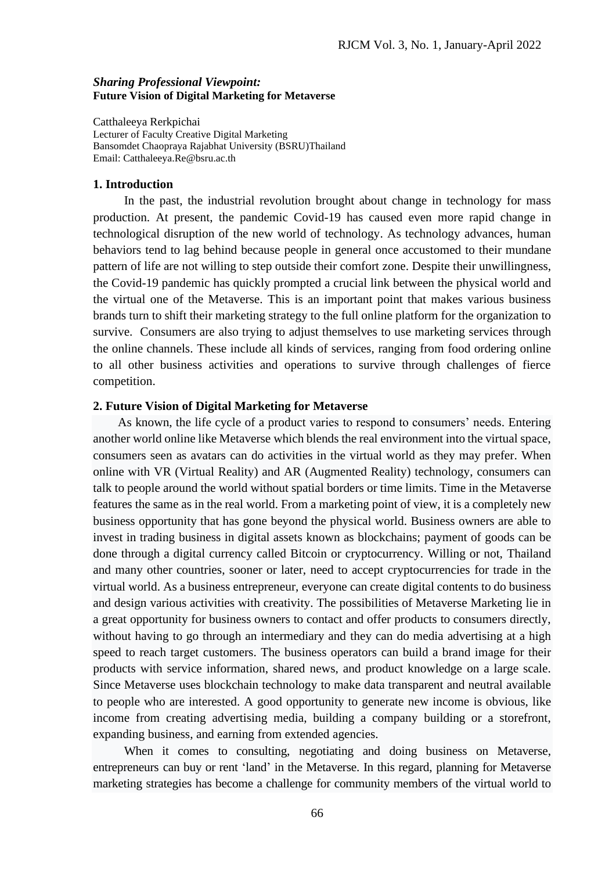## *Sharing Professional Viewpoint:*  **Future Vision of Digital Marketing for Metaverse**

Catthaleeya Rerkpichai Lecturer of Faculty Creative Digital Marketing Bansomdet Chaopraya Rajabhat University (BSRU)Thailand Email: [Catthaleeya.Re@](mailto:li.ming@rmutr.ac.th)bsru.ac.th

#### **1. Introduction**

 In the past, the industrial revolution brought about change in technology for mass production. At present, the pandemic Covid-19 has caused even more rapid change in technological disruption of the new world of technology. As technology advances, human behaviors tend to lag behind because people in general once accustomed to their mundane pattern of life are not willing to step outside their comfort zone. Despite their unwillingness, the Covid-19 pandemic has quickly prompted a crucial link between the physical world and the virtual one of the Metaverse. This is an important point that makes various business brands turn to shift their marketing strategy to the full online platform for the organization to survive. Consumers are also trying to adjust themselves to use marketing services through the online channels. These include all kinds of services, ranging from food ordering online to all other business activities and operations to survive through challenges of fierce competition.

## **2. Future Vision of Digital Marketing for Metaverse**

 As known, the life cycle of a product varies to respond to consumers' needs. Entering another world online like Metaverse which blends the real environment into the virtual space, consumers seen as avatars can do activities in the virtual world as they may prefer. When online with VR (Virtual Reality) and AR (Augmented Reality) technology, consumers can talk to people around the world without spatial borders or time limits. Time in the Metaverse features the same as in the real world. From a marketing point of view, it is a completely new business opportunity that has gone beyond the physical world. Business owners are able to invest in trading business in digital assets known as blockchains; payment of goods can be done through a digital currency called Bitcoin or cryptocurrency. Willing or not, Thailand and many other countries, sooner or later, need to accept cryptocurrencies for trade in the virtual world. As a business entrepreneur, everyone can create digital contents to do business and design various activities with creativity. The possibilities of Metaverse Marketing lie in a great opportunity for business owners to contact and offer products to consumers directly, without having to go through an intermediary and they can do media advertising at a high speed to reach target customers. The business operators can build a brand image for their products with service information, shared news, and product knowledge on a large scale. Since Metaverse uses blockchain technology to make data transparent and neutral available to people who are interested. A good opportunity to generate new income is obvious, like income from creating advertising media, building a company building or a storefront, expanding business, and earning from extended agencies.

 When it comes to consulting, negotiating and doing business on Metaverse, entrepreneurs can buy or rent 'land' in the Metaverse. In this regard, planning for Metaverse marketing strategies has become a challenge for community members of the virtual world to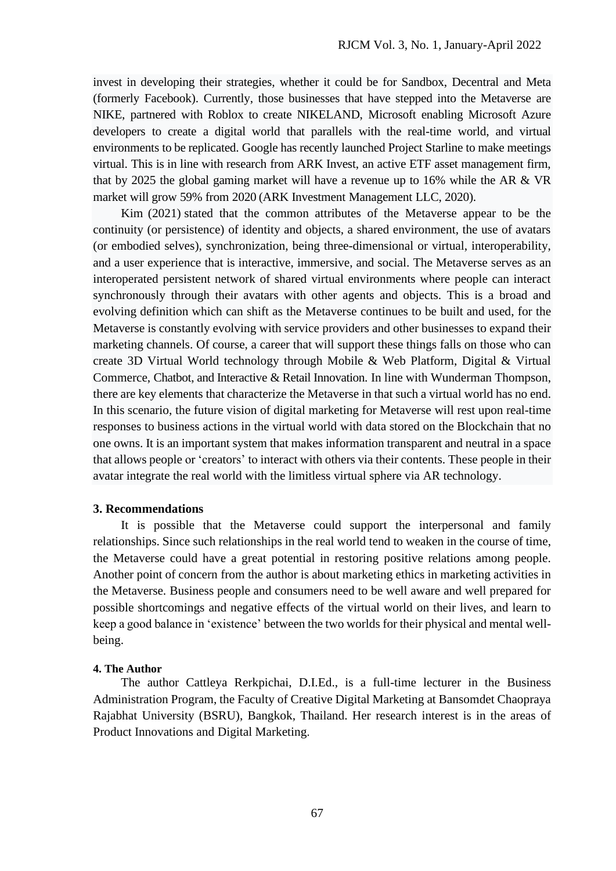invest in developing their strategies, whether it could be for Sandbox, Decentral and Meta (formerly Facebook). Currently, those businesses that have stepped into the Metaverse are NIKE, partnered with Roblox to create NIKELAND, Microsoft enabling Microsoft Azure developers to create a digital world that parallels with the real-time world, and virtual environments to be replicated. Google has recently launched Project Starline to make meetings virtual. This is in line with research from ARK Invest, an active ETF asset management firm, that by 2025 the global gaming market will have a revenue up to 16% while the AR & VR market will grow 59% from 2020 (ARK Investment Management LLC, 2020).

 Kim (2021) stated that the common attributes of the Metaverse appear to be the continuity (or persistence) of identity and objects, a shared environment, the use of avatars (or embodied selves), synchronization, being three-dimensional or virtual, interoperability, and a user experience that is interactive, immersive, and social. The Metaverse serves as an interoperated persistent network of shared virtual environments where people can interact synchronously through their avatars with other agents and objects. This is a broad and evolving definition which can shift as the Metaverse continues to be built and used, for the Metaverse is constantly evolving with service providers and other businesses to expand their marketing channels. Of course, a career that will support these things falls on those who can create 3D Virtual World technology through Mobile & Web Platform, Digital & Virtual Commerce, Chatbot, and Interactive & Retail Innovation. In line with Wunderman Thompson, there are key elements that characterize the Metaverse in that such a virtual world has no end. In this scenario, the future vision of digital marketing for Metaverse will rest upon real-time responses to business actions in the virtual world with data stored on the Blockchain that no one owns. It is an important system that makes information transparent and neutral in a space that allows people or 'creators' to interact with others via their contents. These people in their avatar integrate the real world with the limitless virtual sphere via AR technology.

## **3. Recommendations**

 It is possible that the Metaverse could support the interpersonal and family relationships. Since such relationships in the real world tend to weaken in the course of time, the Metaverse could have a great potential in restoring positive relations among people. Another point of concern from the author is about marketing ethics in marketing activities in the Metaverse. Business people and consumers need to be well aware and well prepared for possible shortcomings and negative effects of the virtual world on their lives, and learn to keep a good balance in 'existence' between the two worlds for their physical and mental wellbeing.

#### **4. The Author**

 The author Cattleya Rerkpichai, D.I.Ed., is a full-time lecturer in the Business Administration Program, the Faculty of Creative Digital Marketing at Bansomdet Chaopraya Rajabhat University (BSRU), Bangkok, Thailand. Her research interest is in the areas of Product Innovations and Digital Marketing.